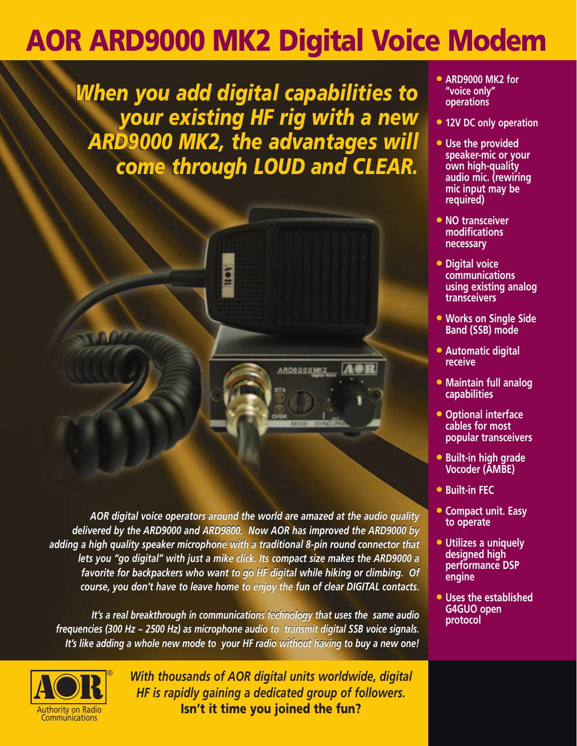## **AOR ARD9000 MK2 Digital Voice Modem**

*When you add digital capabilities to When you add digital capabilities to your existing HF rig with a new your existing HF rig with a new ARD9000 MK2, the advantages will ARD9000 MK2, the advantages will come through LOUD and CLEAR. come through LOUD and CLEAR.* 



*delivered by the ARD9000 and ARD9800. Now AOR has improved the ARD9000 by delivered by the ARD9000 and ARD9800. Now AOR has improved the ARD9000 by adding a high quality speaker microphone with a traditional 8-pin round connector that adding a high quality speaker microphone with a traditional 8-pin round connector that lets you "go digital" with just a mike click. Its compact size makes the ARD9000 a lets you "go digital" with just a mike click. Its compact size makes the ARD9000 a favorite for backpackers who want to go HF digital while hiking or climbing. Of favorite for backpackers who want to go HF digital while hiking or climbing. Of course, you don't have to leave home to enjoy the fun of clear DIGITAL contacts. course, you don't have to leave home to enjoy the fun of clear DIGITAL contacts.* 

*It's a real breakthrough in communications technology that uses the same audio It's a real breakthrough in communications technology that uses the same audio frequencies (300 Hz ~ 2500 Hz) as microphone audio to transmit digital SSB voice signals. frequencies (300 Hz ~ 2500 Hz) as microphone audio to transmit digital SSB voice signals. It's like adding a whole new mode to your HF radio without having to buy a new one! It's like adding a whole new mode to your HF radio without having to buy a new one!*



*With thousands of AOR digital units worldwide, digital HF is rapidly gaining a dedicated group of followers.* **Isn't it time you joined the fun?** 

- **ARD9000 MK2 for "voice only" operations**
- **12V DC only operation**
- **Use the provided speaker-mic or your own high-quality audio mic. (rewiring mic input may be required)**
- **NO transceiver modifications necessary**
- **Digital voice communications using existing analog transceivers**
- **Works on Single Side Band (SSB) mode**
- **Automatic digital receive**
- **Maintain full analog capabilities**
- **Optional interface cables for most popular transceivers**
- **Built-in high grade Vocoder (AMBE)**
- **Built-in FEC**
- **Compact unit. Easy to operate**
- **Utilizes a uniquely designed high performance DSP engine**
- **Uses the established G4GUO open protocol**